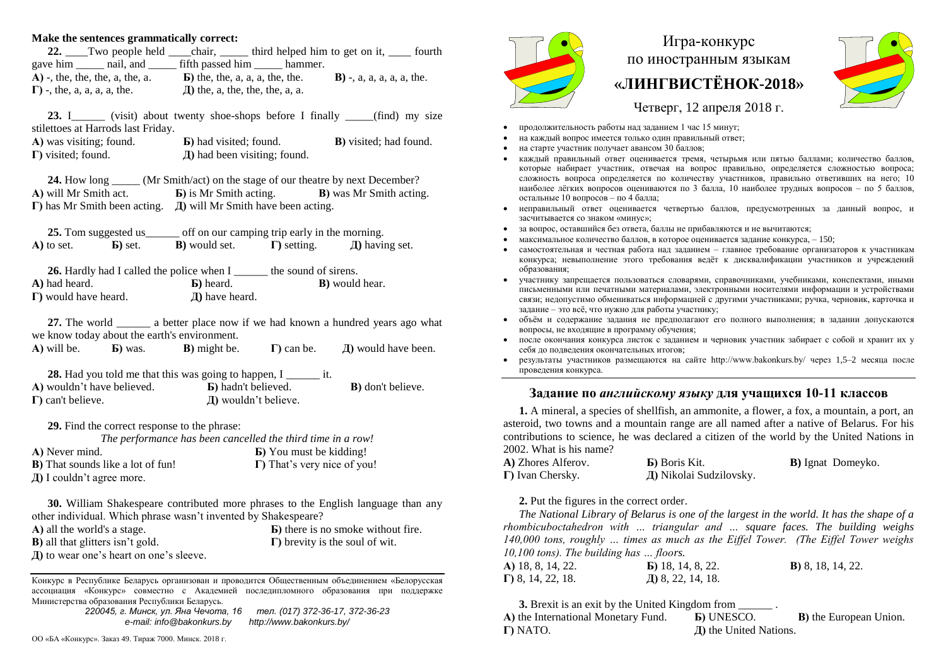## **Make the sentences grammatically correct:**

| 22. Two people held                 | chair, ______ third helped him to get on it, |                          |                              | fourth |
|-------------------------------------|----------------------------------------------|--------------------------|------------------------------|--------|
| gave him hail, and                  |                                              | fifth passed him hammer. |                              |        |
| $A)$ -, the, the, the, a, the, a.   | $\bf{E}$ ) the, the, a, a, a, the, the.      |                          | $B$ ) -, a, a, a, a, a, the. |        |
| $\Gamma$ ) -, the, a, a, a, a, the. | $\pi$ ) the, a, the, the, the, a, a.         |                          |                              |        |

23. I\_\_\_\_\_\_\_ (visit) about twenty shoe-shops before I finally \_\_\_\_\_(find) my size stilettoes at Harrods last Friday.

| A) was visiting; found.    | <b>b</b> ) had visited; found.    | <b>B</b> ) visited; had found. |
|----------------------------|-----------------------------------|--------------------------------|
| $\Gamma$ ) visited; found. | $\pi$ ) had been visiting; found. |                                |

**24.** How long (Mr Smith/act) on the stage of our theatre by next December? **А)** will Mr Smith act. **Б)** is Mr Smith acting. **В)** was Mr Smith acting. **Г)** has Mr Smith been acting. **Д)** will Mr Smith have been acting.

**25.** Tom suggested us off on our camping trip early in the morning. **A**) to set. **b**) set. **B**) would set. **I**) setting.  $\Box$  having set.

26. Hardly had I called the police when I \_\_\_\_\_\_\_ the sound of sirens. **A)** had heard. **Б)** heard. **В)** would hear. **Г)** would have heard. **Д)** have heard.

**27.** The world \_\_\_\_\_\_ a better place now if we had known a hundred years ago what we know today about the earth's environment. **А)** will be. **Б)** was. **В)** might be. **Г)** can be. **Д)** would have been.

**28.** Had you told me that this was going to happen, I \_\_\_\_\_\_\_ it. **А)** wouldn't have believed. **Б)** hadn't believed. **В)** don't believe. **Г)** can't believe. **Д)** wouldn't believe.

**29.** Find the correct response to the phrase:

*The performance has been cancelled the third time in a row!* **A)** Never mind. **5)** You must be kidding!

| $\ldots$ , $\ldots$ , $\ldots$            | $\mathbf{B}$ , roa mast se maaing.  |
|-------------------------------------------|-------------------------------------|
| <b>B</b> ) That sounds like a lot of fun! | $\Gamma$ ) That's very nice of you! |
| Д) I couldn't agree more.                 |                                     |

**30.** William Shakespeare contributed more phrases to the English language than any other individual. Which phrase wasn't invented by Shakespeare?

| A) all the world's a stage.                  | <b>b</b> ) there is no smoke without fire. |
|----------------------------------------------|--------------------------------------------|
| <b>B</b> ) all that glitters isn't gold.     | $\Gamma$ ) brevity is the soul of wit.     |
| $\Pi$ ) to wear one's heart on one's sleeve. |                                            |

Конкурс в Республике Беларусь организован и проводится Общественным объединением «Белорусская ассоциация «Конкурс» совместно с Академией последипломного образования при поддержке Министерства образования Республики Беларусь.

*220045, г. Минск, ул. Яна Чечота, 16 тел. (017) 372-36-17, 372-36-23 e-mail: info@bakonkurs.by http://www.bakonkurs.by/*

ОО «БА «Конкурс». Заказ 49. Тираж 7000. Минск. 2018 г.



## Игра-конкурс по иностранным языкам **«ЛИНГВИСТЁНОК-2018»**



Четверг, 12 апреля 2018 г.

- продолжительность работы над заданием 1 час 15 минут;
- на каждый вопрос имеется только один правильный ответ;
- на старте участник получает авансом 30 баллов;
- каждый правильный ответ оценивается тремя, четырьмя или пятью баллами; количество баллов, которые набирает участник, отвечая на вопрос правильно, определяется сложностью вопроса; сложность вопроса определяется по количеству участников, правильно ответивших на него; 10 наиболее лёгких вопросов оцениваются по 3 балла, 10 наиболее трудных вопросов – по 5 баллов, остальные 10 вопросов – по 4 балла;
- неправильный ответ оценивается четвертью баллов, предусмотренных за данный вопрос, и засчитывается со знаком «минус»;
- за вопрос, оставшийся без ответа, баллы не прибавляются и не вычитаются;
- максимальное количество баллов, в которое оценивается задание конкурса, 150;
- самостоятельная и честная работа над заданием главное требование организаторов к участникам конкурса; невыполнение этого требования ведёт к дисквалификации участников и учреждений образования;
- участнику запрещается пользоваться словарями, справочниками, учебниками, конспектами, иными письменными или печатными материалами, электронными носителями информации и устройствами связи; недопустимо обмениваться информацией с другими участниками; ручка, черновик, карточка и задание – это всё, что нужно для работы участнику;
- объём и содержание задания не предполагают его полного выполнения; в задании допускаются вопросы, не входящие в программу обучения;
- после окончания конкурса листок с заданием и черновик участник забирает с собой и хранит их у себя до подведения окончательных итогов;
- результаты участников размещаются на сайте http://www.bakonkurs.by/ через 1,5–2 месяца после проведения конкурса.

## **Задание по** *английскому языку* **для учащихся 10-11 классов**

**1.** A mineral, a species of shellfish, an ammonite, a flower, a fox, a mountain, a port, an asteroid, two towns and a mountain range are all named after a native of Belarus. For his contributions to science, he was declared a citizen of the world by the United Nations in 2002. What is his name?

| A) Zhores Alferov.       | <b>b</b> ) Boris Kit.   | <b>B</b> ) Ignat Domeyko. |
|--------------------------|-------------------------|---------------------------|
| $\Gamma$ ) Ivan Chersky. | Д) Nikolai Sudzilovsky. |                           |

## **2.** Put the figures in the correct order.

*The National Library of Belarus is one of the largest in the world. It has the shape of a rhombicuboctahedron with … triangular and … square faces. The building weighs 140,000 tons, roughly … times as much as the Eiffel Tower. (The Eiffel Tower weighs 10,100 tons). The building has … floors.*

| <b>A)</b> 18, 8, 14, 22.  | $\mathbf{E}$ ) 18, 14, 8, 22. | <b>B</b> ) 8, 18, 14, 22. |
|---------------------------|-------------------------------|---------------------------|
| $\Gamma$ ) 8, 14, 22, 18. | Д) 8, 22, 14, 18.             |                           |

**3.** Brexit is an exit by the United Kingdom from **А)** the International Monetary Fund. **Б)** UNESCO. **В)** the European Union. **Г)** NATO. **Д)** the United Nations.